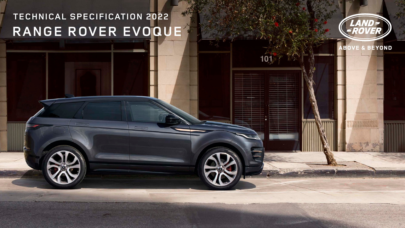# **TECHNICAL SPECIFICATION 2022 RANGE ROVER EVOQUE**

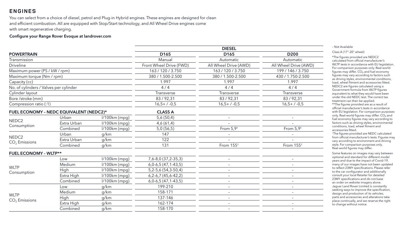You can select from a choice of diesel, petrol and Plug-in Hybrid engines. These engines are designed for clean and efficient combustion. All are equipped with Stop/Start technology, and All Wheel Drive engines come with smart regenerative charging.

### Configure your Range Rover Evoque at landrover.com

| <b>DIESEL</b>                                                                        |                          |
|--------------------------------------------------------------------------------------|--------------------------|
| <b>POWERTRAIN</b><br>D <sub>165</sub><br>D <sub>165</sub>                            | D <sub>200</sub>         |
| Transmission<br>Manual<br>Automatic                                                  | Automatic                |
| <b>Driveline</b><br>Front Wheel Drive (FWD)<br>All Wheel Drive (AWD)                 | All Wheel Drive (AWD)    |
| 163 / 120 / 3.750<br>163 / 120 / 3.750<br>Maximum power (PS / kW / rpm)              | 199 / 146 / 3.750        |
| 380 / 1.500-2.500<br>380 / 1.500-2.500<br>Maximum torque (Nm / rpm)                  | 430 / 1.750-2.500        |
| 1.997<br>1.997<br>Capacity (cc)                                                      | 1.997                    |
| No. of cylinders / Valves per cylinder<br>4/4<br>4/4                                 | 4/4                      |
| Cylinder layout<br>Transverse<br>Transverse                                          | Transverse               |
| 83/92,31<br>83/92,31<br>Bore /stroke (mm)                                            | 83/92,31                 |
| Compression ratio (:1)<br>$16,5+7.0,5$<br>$16,5+7-0,5$                               | $16,5+7.0,5$             |
| FUEL ECONOMY - NEDC EQUIVALENT (NEDC2)*<br><b>CLASS A</b>                            |                          |
| $1/100km$ (mpg)<br>5,6(50,4)<br>Urban<br>$\overline{\phantom{m}}$                    |                          |
| NEDC <sub>2</sub><br>Extra Urban<br>$1/100km$ (mpg)<br>4,6(61,4)<br>$-$              | $\overline{\phantom{m}}$ |
| Consumption<br>Combined<br>$1/100km$ (mpg)<br>From $5.9+$<br>5,0(56,5)               | From $5.9+$              |
| Urban<br>g/km<br>147                                                                 |                          |
| NEDC <sub>2</sub><br>Extra Urban<br>122<br>g/km<br>$CO2$ Emissions                   |                          |
| Combined<br>131<br>From $155†$<br>g/km                                               | From 155 <sup>+</sup>    |
| <b>FUEL ECONOMY - WLTP**</b>                                                         |                          |
| $1/100km$ (mpg)<br>7,6-8,0 (37,2-35,3)<br>Low<br>$\overline{\phantom{m}}$            | $\overline{\phantom{m}}$ |
| Medium<br>$1/100km$ (mpg)<br>$6,0-6,5(47,1-43,5)$<br>$-$                             | $\overline{\phantom{m}}$ |
| <b>WLTP</b><br>High<br>$1/100km$ (mpg)<br>$5,2-5,6(54,3-50,4)$<br>$-$                | $\qquad \qquad -$        |
| Consumption<br>Extra High<br>$1/100km$ (mpg)<br>$6, 2 - 6, 7$ (45, 6 - 42, 2)<br>$-$ |                          |
| Combined<br>I/100km (mpg)<br>$6,0-6,5(47,1-43,5)$<br>$\overline{\phantom{0}}$        |                          |
| 199-210<br>g/km<br>Low<br>$-$                                                        | $-$                      |
| Medium<br>g/km<br>158-171<br>$-$                                                     |                          |
| <b>WLTP</b><br>High<br>g/km<br>137-146<br>$-$<br>$CO2$ Emissions                     | $\overline{\phantom{m}}$ |
| Extra High<br>g/km<br>162-174<br>$-$                                                 |                          |
| Combined<br>158-170<br>g/km                                                          |                          |

#### – Not Available

Class A (17"-20" wheel)

\*The figures provided are NEDC2 calculated from official manufacturer's WLTP tests in accordance with EU legislation. For comparison purposes only. Real-world figures may differ. CO<sub>2</sub> and fuel economy figures may vary according to factors such as driving styles, environmental conditions, load, wheel fitment and accessories fitted. NEDC2 are figures calculated using a Government formula from WLTP figures equivalent to what they would have been under the old NEDC test. The correct tax treatment can then be applied.

\*\*The figures provided are as a result of official manufacturer's tests in accordance with EU legislation. For comparison purposes only. Real-world figures may differ. CO<sub>2</sub> and fuel economy figures may vary according to factors such as driving styles, environmental conditions, load, wheel fitment and accessories fitted.

† The figures provided are NEDC calculated from official manufacturer's tests. Figures may vary according to environment and driving style. For comparison purposes only. Real-world figures may differ.

Some features on images may vary between optional and standard for different model years and due to the impact of Covid-19, many of our images have not been updated to reflect 23MY specifications. Please refer to the car configurator and additionally consult your local Retailer for detailed 23MY specifications and do not base an order on website imagery alone. Jaguar Land Rover Limited is constantly seeking ways to improve the specification, design and production of its vehicles, parts and accessories and alterations take place continually, and we reserve the right to change without notice.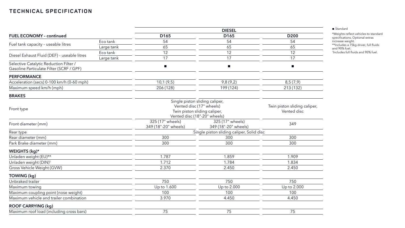|                                                                                    |            | <b>DIESEL</b>                                                                                                              |                                           |                                             |
|------------------------------------------------------------------------------------|------------|----------------------------------------------------------------------------------------------------------------------------|-------------------------------------------|---------------------------------------------|
| <b>FUEL ECONOMY - continued</b>                                                    |            | D <sub>165</sub>                                                                                                           | D <sub>165</sub>                          | D <sub>200</sub>                            |
|                                                                                    | Eco tank   | 54                                                                                                                         | 54                                        | 54                                          |
| Fuel tank capacity - useable litres                                                | Large tank | 65                                                                                                                         | 65                                        | 65                                          |
|                                                                                    | Eco tank   | 12                                                                                                                         | 12                                        | 12                                          |
| Diesel Exhaust Fluid (DEF) - useable litres                                        | Large tank | 17                                                                                                                         | 17                                        | 17                                          |
| Selective Catalytic Reduction Filter /<br>Gasoline Particulate Filter (SCRF / GPF) |            | п                                                                                                                          | $\blacksquare$                            | п                                           |
| <b>PERFORMANCE</b>                                                                 |            |                                                                                                                            |                                           |                                             |
| Acceleration (secs) 0-100 km/h (0-60 mph)                                          |            | 10,1(9,5)                                                                                                                  | 9,8(9,2)                                  | 8,5(7,9)                                    |
| Maximum speed km/h (mph)                                                           |            | 206 (128)                                                                                                                  | 199 (124)                                 | 213 (132)                                   |
| <b>BRAKES</b>                                                                      |            |                                                                                                                            |                                           |                                             |
| Front type                                                                         |            | Single piston sliding caliper,<br>Vented disc (17" wheels)<br>Twin piston sliding caliper,<br>Vented disc (18"-20" wheels) |                                           | Twin piston sliding caliper,<br>Vented disc |
| Front diameter (mm)                                                                |            | 325 (17" wheels)<br>349 (18"-20" wheels)                                                                                   | 325 (17" wheels)<br>349 (18"-20" wheels)  | 349                                         |
| Rear type                                                                          |            |                                                                                                                            | Single piston sliding caliper, Solid disc |                                             |
| Rear diameter (mm)                                                                 |            | 300                                                                                                                        | 300                                       | 300                                         |
| Park Brake diameter (mm)                                                           |            | 300                                                                                                                        | 300                                       | 300                                         |
| WEIGHTS (kg)*                                                                      |            |                                                                                                                            |                                           |                                             |
| Unladen weight (EU)**                                                              |            | 1.787                                                                                                                      | 1.859                                     | 1.909                                       |
| Unladen weight (DIN) <sup>†</sup>                                                  |            | 1.712                                                                                                                      | 1.784                                     | 1.834                                       |
| Gross Vehicle Weight (GVW)                                                         |            | 2.370                                                                                                                      | 2.450                                     | 2.450                                       |
| <b>TOWING (kg)</b>                                                                 |            |                                                                                                                            |                                           |                                             |
| Unbraked trailer                                                                   |            | 750                                                                                                                        | 750                                       | 750                                         |
| Maximum towing                                                                     |            | Up to 1.600                                                                                                                | Up to 2.000                               | Up to 2.000                                 |
| Maximum coupling point (nose weight)                                               |            | 100                                                                                                                        | 100                                       | 100                                         |
| Maximum vehicle and trailer combination                                            |            | 3.970                                                                                                                      | 4.450                                     | 4.450                                       |
| <b>ROOF CARRYING (kg)</b>                                                          |            |                                                                                                                            |                                           |                                             |
| Maximum roof load (including cross bars)                                           |            | 75                                                                                                                         | 75                                        | 75                                          |

■ Standard

\*Weights reflect vehicles to standard specifications. Optional extras increase weight. \*\*Includes a 75kg driver, full fluids and 90% fuel. † Includes full fluids and 90% fuel.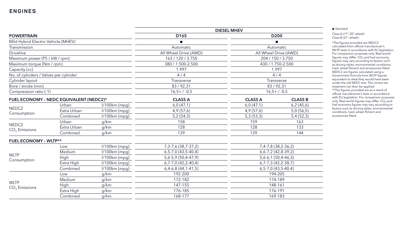|                                         |                 | <b>DIESEL MHEV</b>               |                      |                               |
|-----------------------------------------|-----------------|----------------------------------|----------------------|-------------------------------|
| <b>POWERTRAIN</b>                       |                 | D <sub>165</sub>                 | D <sub>200</sub>     |                               |
| Mild Hybrid Electric Vehicle (MHEV)     |                 |                                  |                      |                               |
|                                         |                 | Automatic                        |                      | Automatic                     |
|                                         |                 | All Wheel Drive (AWD)            |                      | All Wheel Drive (AWD)         |
| Maximum power (PS / kW / rpm)           |                 | 163 / 120 / 3.750                |                      | 204 / 150 / 3.750             |
| Maximum torque (Nm / rpm)               |                 | 380 / 1.500-2.500                |                      | 430 / 1.750-2.500             |
|                                         |                 | 1.997                            |                      | 1.997                         |
| No. of cylinders / Valves per cylinder  |                 | 4/4                              |                      | 4/4                           |
|                                         |                 | Transverse                       |                      | Transverse                    |
|                                         |                 | 83/92,31                         |                      | 83/92,31                      |
| Compression ratio (:1)                  |                 | $16,5+7.0,5$                     |                      | $16,5+7.0,5$                  |
| FUEL ECONOMY - NEDC EQUIVALENT (NEDC2)* |                 | <b>CLASS A</b>                   | <b>CLASS A</b>       | <b>CLASS B</b>                |
| Urban                                   | $1/100km$ (mpg) | 6,0(47,1)                        | 6,0(47,1)            | 6,2(45,6)                     |
| Extra Urban                             | $1/100km$ (mpg) | 4,9(57,6)                        | 4,9(57,6)            | 5,0(56,5)                     |
| Combined                                | $1/100km$ (mpg) | 5,2(54,3)                        | 5,3(53,3)            | 5,4 (52,3)                    |
| Urban                                   | g/km            | 158                              | 159                  | 163                           |
| Extra Urban                             | g/km            | 128                              | 128                  | 133                           |
| Combined                                | g/km            | 139                              | 139                  | 144                           |
| <b>FUEL ECONOMY - WLTP**</b>            |                 |                                  |                      |                               |
| Low                                     |                 | 7, 3-7, 6 (38, 7-37, 2)          |                      | 7,4-7,8 (38,2-36,2)           |
| Medium                                  | $1/100km$ (mpg) | $6, 5 - 7, 0$ (43, 5 - 40, 4)    |                      | $6, 6 - 7, 2$ (42, 8 - 39, 2) |
| High                                    | $1/100km$ (mpg) | $5,6-5,9(50,4-47,9)$             | $5,6-6,1(50,4-46,3)$ |                               |
| Extra High                              |                 | $6, 7 - 7, 0$ (42, 2-40, 4)      |                      | $6, 7 - 7, 3 (42, 2 - 38, 7)$ |
| Combined                                | $1/100km$ (mpg) | $6,4-6,8(44,1-41,5)$             |                      | $6, 5 - 7, 0$ (43, 5 - 40, 4) |
| Low                                     | g/km            | 192-200                          |                      | 194-205                       |
| Medium                                  | g/km            | 172-182                          | 174-189              |                               |
| <b>High</b>                             | g/km            | 147-155                          |                      | 148-161                       |
| Extra High                              | g/km            | 176-185                          |                      | 176-191                       |
| Combined                                | g/km            | 168-177                          | 169-183              |                               |
|                                         |                 | $1/100km$ (mpg)<br>l/100km (mpg) |                      |                               |

#### ■ Standard

\*The figures provided are NEDC2 calculated from official manufacturer's WLTP tests in accordance with EU legislation. For comparison purposes only. Real-world figures may differ.  $CO<sub>2</sub>$  and fuel economy figures may vary according to factors such as driving styles, environmental conditions, load, wheel fitment and accessories fitted. NEDC2 are figures calculated using a Government formula from WLTP figures equivalent to what they would have been under the old NEDC test. The correct tax treatment can then be applied. \*\*The figures provided are as a result of official manufacturer's tests in accordance with EU legislation. For comparison purposes only. Real-world figures may differ.  $CO<sub>2</sub>$  and

Class A (17"-20" wheel) Class B (21" wheel)

fuel economy figures may vary according to factors such as driving styles, environmental conditions, load, wheel fitment and accessories fitted.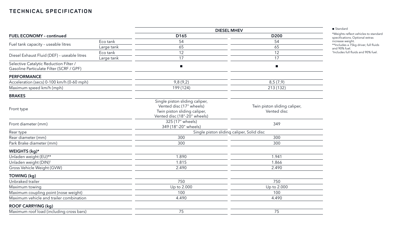| <b>FUEL ECONOMY - continued</b>                                                    |            | <b>DIESEL MHEV</b>                                                                                                         |                                             |  |
|------------------------------------------------------------------------------------|------------|----------------------------------------------------------------------------------------------------------------------------|---------------------------------------------|--|
|                                                                                    |            | D <sub>165</sub>                                                                                                           | D <sub>200</sub>                            |  |
|                                                                                    | Eco tank   | 54                                                                                                                         | 54                                          |  |
| Fuel tank capacity - useable litres                                                | Large tank | 65                                                                                                                         | 65                                          |  |
| Diesel Exhaust Fluid (DEF) - useable litres                                        | Eco tank   | 12                                                                                                                         | 12                                          |  |
|                                                                                    | Large tank | 17                                                                                                                         | 17                                          |  |
| Selective Catalytic Reduction Filter /<br>Gasoline Particulate Filter (SCRF / GPF) |            |                                                                                                                            | $\blacksquare$                              |  |
| <b>PERFORMANCE</b>                                                                 |            |                                                                                                                            |                                             |  |
| Acceleration (secs) 0-100 km/h (0-60 mph)                                          |            | 9,8(9,2)                                                                                                                   | 8,5(7,9)                                    |  |
| Maximum speed km/h (mph)                                                           |            | 199 (124)                                                                                                                  | 213 (132)                                   |  |
| <b>BRAKES</b>                                                                      |            |                                                                                                                            |                                             |  |
| Front type                                                                         |            | Single piston sliding caliper,<br>Vented disc (17" wheels)<br>Twin piston sliding caliper,<br>Vented disc (18"-20" wheels) | Twin piston sliding caliper,<br>Vented disc |  |
| Front diameter (mm)                                                                |            | 325 (17" wheels)<br>349 (18"-20" wheels)                                                                                   | 349                                         |  |
| Rear type                                                                          |            | Single piston sliding caliper, Solid disc                                                                                  |                                             |  |
| Rear diameter (mm)                                                                 |            | 300                                                                                                                        | 300                                         |  |
| Park Brake diameter (mm)                                                           |            | 300                                                                                                                        | 300                                         |  |
| WEIGHTS (kg)*                                                                      |            |                                                                                                                            |                                             |  |
| Unladen weight (EU)**                                                              |            | 1.890                                                                                                                      | 1.941                                       |  |
| Unladen weight (DIN) <sup>+</sup>                                                  |            | 1.815                                                                                                                      | 1.866                                       |  |
| Gross Vehicle Weight (GVW)                                                         |            | 2.490                                                                                                                      | 2.490                                       |  |
| <b>TOWING (kg)</b>                                                                 |            |                                                                                                                            |                                             |  |
| Unbraked trailer                                                                   |            | 750                                                                                                                        | 750                                         |  |
| Maximum towing                                                                     |            | Up to 2.000                                                                                                                | Up to 2.000                                 |  |
| Maximum coupling point (nose weight)                                               |            | 100                                                                                                                        | 100                                         |  |
| Maximum vehicle and trailer combination                                            |            | 4.490                                                                                                                      | 4.490                                       |  |
| <b>ROOF CARRYING (kg)</b>                                                          |            |                                                                                                                            |                                             |  |
| Maximum roof load (including cross bars)                                           |            | 75                                                                                                                         | 75                                          |  |

■ Standard

\*Weights reflect vehicles to standard specifications. Optional extras increase weight. \*\*Includes a 75kg driver, full fluids and 90% fuel. † Includes full fluids and 90% fuel.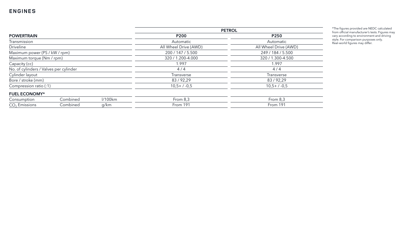|                                        |          |         | <b>PETROL</b>         |                       |  |  |
|----------------------------------------|----------|---------|-----------------------|-----------------------|--|--|
| <b>POWERTRAIN</b>                      |          |         | <b>P200</b>           | P250                  |  |  |
| Transmission                           |          |         | Automatic             | Automatic             |  |  |
| <b>Driveline</b>                       |          |         | All Wheel Drive (AWD) | All Wheel Drive (AWD) |  |  |
| Maximum power (PS / kW / rpm)          |          |         | 200 / 147 / 5.500     | 249 / 184 / 5.500     |  |  |
| Maximum torque (Nm / rpm)              |          |         | 320 / 1.200-4.000     | 320 / 1.300-4.500     |  |  |
| Capacity (cc)                          |          |         | 1.997                 | 1.997                 |  |  |
| No. of cylinders / Valves per cylinder |          |         | 4/4                   | 4/4                   |  |  |
| Cylinder layout                        |          |         | Transverse            | <b>Transverse</b>     |  |  |
| Bore / stroke (mm)                     |          |         | 83/92,29              | 83/92,29              |  |  |
| Compression ratio (:1)                 |          |         | $10,5+/-0,5$          | $10,5+/-0,5$          |  |  |
| <b>FUEL ECONOMY*</b>                   |          |         |                       |                       |  |  |
| Consumption                            | Combined | 1/100km | From $8,3$            | From 8,3              |  |  |
| $CO2$ Emissions                        | Combined | g/km    | From 191              | From 191              |  |  |

\*The figures provided are NEDC calculated from official manufacturer's tests. Figures may vary according to environment and driving style. For comparison purposes only. Real -world figures may differ.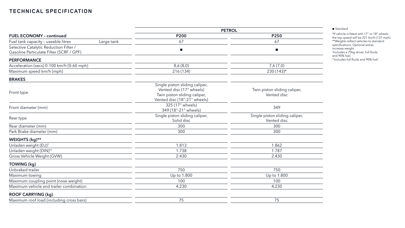|                                                                                    |            | <b>PETROL</b>                                                                                                              |                                               |  |  |
|------------------------------------------------------------------------------------|------------|----------------------------------------------------------------------------------------------------------------------------|-----------------------------------------------|--|--|
| <b>FUEL ECONOMY - continued</b>                                                    |            | <b>P200</b>                                                                                                                | P250                                          |  |  |
| Fuel tank capacity - useable litres                                                | Large tank | 67                                                                                                                         | 67                                            |  |  |
| Selective Catalytic Reduction Filter /<br>Gasoline Particulate Filter (SCRF / GPF) |            | п                                                                                                                          |                                               |  |  |
| <b>PERFORMANCE</b>                                                                 |            |                                                                                                                            |                                               |  |  |
| Acceleration (secs) 0-100 km/h (0-60 mph)                                          |            | 8,6(8,0)                                                                                                                   | 7,6(7,0)                                      |  |  |
| Maximum speed km/h (mph)                                                           |            | 216 (134)                                                                                                                  | $230(143)$ *                                  |  |  |
| <b>BRAKES</b>                                                                      |            |                                                                                                                            |                                               |  |  |
| Front type                                                                         |            | Single piston sliding caliper,<br>Vented disc (17" wheels)<br>Twin piston sliding caliper,<br>Vented disc (18"-21" wheels) | Twin piston sliding caliper,<br>Vented disc   |  |  |
| Front diameter (mm)                                                                |            | 325 (17" wheels)<br>349 (18"-21" wheels)                                                                                   | 349                                           |  |  |
| Rear type                                                                          |            | Single piston sliding caliper,<br>Solid disc                                                                               | Single piston sliding caliper,<br>Vented disc |  |  |
| Rear diameter (mm)                                                                 |            | 300                                                                                                                        | 300                                           |  |  |
| Park Brake diameter (mm)                                                           |            | 300                                                                                                                        | 300                                           |  |  |
| WEIGHTS (kg)**                                                                     |            |                                                                                                                            |                                               |  |  |
| Unladen weight (EU) <sup>+</sup>                                                   |            | 1.813                                                                                                                      | 1.862                                         |  |  |
| Unladen weight (DIN) <sup>††</sup>                                                 |            | 1.738                                                                                                                      | 1.787                                         |  |  |
| Gross Vehicle Weight (GVW)                                                         |            | 2.430                                                                                                                      | 2.430                                         |  |  |
| TOWING (kg)                                                                        |            |                                                                                                                            |                                               |  |  |
| Unbraked trailer                                                                   |            | 750                                                                                                                        | 750                                           |  |  |
| Maximum towing                                                                     |            | Up to 1.800                                                                                                                | Up to 1.800                                   |  |  |
| Maximum coupling point (nose weight)                                               |            | 100                                                                                                                        | 100                                           |  |  |
| Maximum vehicle and trailer combination                                            |            | 4.230                                                                                                                      | 4.230                                         |  |  |
| <b>ROOF CARRYING (kg)</b>                                                          |            |                                                                                                                            |                                               |  |  |
| Maximum roof load (including cross bars)                                           |            | 75                                                                                                                         | 75                                            |  |  |
|                                                                                    |            |                                                                                                                            |                                               |  |  |

#### ■ Standard

\*If vehicle is fitted with 17" or 18" wheels the top speed will be 221 km/h (137 mph). \*\*Weights reflect vehicles to standard specifications. Optional extras increase weight. † Includes a 75kg driver, full fluids and 90% fuel. ††Includes full fluids and 90% fuel.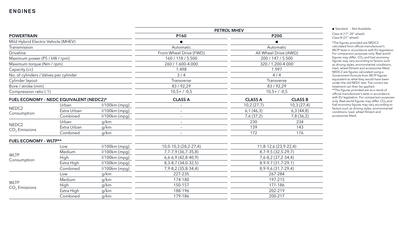|                                         |             |                 |                          | <b>PETROL MHEV</b> |                         |
|-----------------------------------------|-------------|-----------------|--------------------------|--------------------|-------------------------|
| <b>POWERTRAIN</b>                       |             | P160            |                          | <b>P200</b>        |                         |
| Mild Hybrid Electric Vehicle (MHEV)     |             |                 |                          |                    |                         |
| Transmission                            |             |                 | Automatic                |                    | Automatic               |
| <b>Driveline</b>                        |             |                 | Front Wheel Drive (FWD)  |                    | All Wheel Drive (AWD)   |
| Maximum power (PS / kW / rpm)           |             |                 | 160 / 118 / 5.500        |                    | 200 / 147 / 5.500       |
| Maximum torque (Nm / rpm)               |             |                 | 260 / 1.600-4.000        |                    | 320 / 1.200-4.000       |
| Capacity (cc)                           |             |                 | 1.498                    |                    | 1.997                   |
| No. of cylinders / Valves per cylinder  |             |                 | 3/4                      |                    | 4/4                     |
| Cylinder layout                         |             |                 | Transverse               |                    | Transverse              |
| Bore / stroke (mm)                      |             |                 | 83/92,29                 |                    | 83/92,29                |
| Compression ratio (:1)                  |             |                 | $10,5+/-0,5$             |                    | $10,5+7.0,5$            |
| FUEL ECONOMY - NEDC EQUIVALENT (NEDC2)* |             | <b>CLASS A</b>  | <b>CLASS A</b>           | <b>CLASS B</b>     |                         |
|                                         | Urban       | $1/100km$ (mpg) |                          | 10,2(27,7)         | 10,3(27,4)              |
| NEDC <sub>2</sub><br>Consumption        | Extra Urban | $1/100km$ (mpg) |                          | 6,1(46,3)          | 6,3(44,8)               |
|                                         | Combined    | $1/100km$ (mpg) |                          | 7,6(37,2)          | 7,8 (36,2)              |
|                                         | Urban       | g/km            | $\overline{\phantom{m}}$ | 230                | 234                     |
| NEDC <sub>2</sub><br>$CO2$ Emissions    | Extra Urban | g/km            |                          | 139                | 143                     |
|                                         | Combined    | g/km            |                          | 172                | 176                     |
| <b>FUEL ECONOMY - WLTP**</b>            |             |                 |                          |                    |                         |
|                                         | Low         | $1/100km$ (mpg) | 10,0-10,3 (28,2-27,4)    |                    | 11,8-12,6 (23,9-22,4)   |
|                                         | Medium      | $1/100km$ (mpg) | 7,7-7,9 (36,7-35,8)      |                    | 8,7-9,5 (32,5-29,7)     |
| <b>WLTP</b>                             | High        | $1/100km$ (mpg) | $6,6-6,9(42,8-40,9)$     |                    | 7,6-8,2 (37,2-34,4)     |
| Consumption                             | Extra High  | I/100km (mpg)   | 8, 3-8, 7 (34, 0-32, 5)  |                    | 8, 9-9, 7 (31, 7-29, 1) |
|                                         | Combined    | $1/100km$ (mpg) | $7,9 - 8,2(35,8 - 34,4)$ |                    | 8, 9-9, 6 (31, 7-29, 4) |
|                                         | Low         | g/km            | 227-235                  | 267-284            |                         |
|                                         | Medium      | g/km            | 174-180                  | 197-215            |                         |
| <b>WLTP</b><br>$CO2$ Emissions          | <b>High</b> | g/km            | 150-157                  |                    | 171-186                 |
|                                         | Extra High  | g/km            | 188-196                  |                    | 202-219                 |
| Combined                                |             |                 |                          | 200-217            |                         |

■ Standard - Not Available.

### **ENGINES**

Class A (17"-20" wheel) Class B (21" wheel)

\*The figures provided are NEDC2 calculated from official manufacturer's WLTP tests in accordance with EU legislation. For comparison purposes only. Real-world figures may differ.  $CO<sub>2</sub>$  and fuel economy figures may vary according to factors such as driving styles, environmental conditions, load, wheel fitment and accessories fitted. NEDC2 are figures calculated using a Government formula from WLTP figures equivalent to what they would have been under the old NEDC test. The correct tax treatment can then be applied. \*\*The figures provided are as a result of official manufacturer's tests in accordance with EU legislation. For comparison purposes only. Real-world figures may differ.  $CO<sub>2</sub>$  and fuel economy figures may vary according to

factors such as driving styles, environmental conditions, load, wheel fitment and accessories fitted.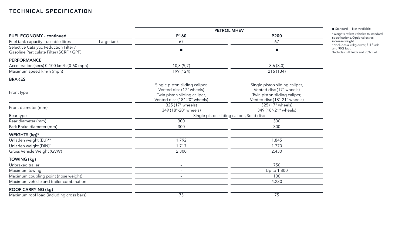| <b>PETROL MHEV</b>                                                                         |                                                                                                                            |  |
|--------------------------------------------------------------------------------------------|----------------------------------------------------------------------------------------------------------------------------|--|
| P160                                                                                       | <b>P200</b>                                                                                                                |  |
| 67                                                                                         | 67                                                                                                                         |  |
| $\mathcal{L}_{\mathcal{A}}$                                                                |                                                                                                                            |  |
|                                                                                            |                                                                                                                            |  |
| 10,3(9,7)                                                                                  | 8,6(8,0)                                                                                                                   |  |
| 199 (124)                                                                                  | 216 (134)                                                                                                                  |  |
|                                                                                            |                                                                                                                            |  |
| Single piston sliding caliper,<br>Vented disc (17" wheels)<br>Twin piston sliding caliper, | Single piston sliding caliper,<br>Vented disc (17" wheels)<br>Twin piston sliding caliper,<br>Vented disc (18"-21" wheels) |  |
| 325 (17" wheels)<br>349 (18"-20" wheels)                                                   | 325 (17" wheels)<br>349 (18"-21" wheels)                                                                                   |  |
| Single piston sliding caliper, Solid disc                                                  |                                                                                                                            |  |
| 300                                                                                        | 300                                                                                                                        |  |
| 300                                                                                        | 300                                                                                                                        |  |
|                                                                                            |                                                                                                                            |  |
| 1.792                                                                                      | 1.845                                                                                                                      |  |
| 1.717                                                                                      | 1.770                                                                                                                      |  |
| 2.300                                                                                      | 2.430                                                                                                                      |  |
|                                                                                            |                                                                                                                            |  |
| $\overline{\phantom{0}}$                                                                   | 750                                                                                                                        |  |
| $\qquad \qquad -$                                                                          | Up to 1.800                                                                                                                |  |
| $\qquad \qquad -$                                                                          | 100                                                                                                                        |  |
| $\qquad \qquad -$                                                                          | 4.230                                                                                                                      |  |
|                                                                                            |                                                                                                                            |  |
| 75                                                                                         | 75                                                                                                                         |  |
|                                                                                            | Vented disc (18"-20" wheels)                                                                                               |  |

■ Standard - Not Available.

\*Weights reflect vehicles to standard specifications. Optional extras increase weight. \*\*Includes a 75kg driver, full fluids and 90% fuel.

† Includes full fluids and 90% fuel.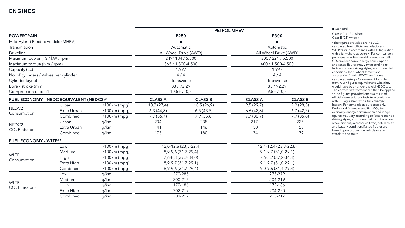|                                         |             |                 |                      | <b>PETROL MHEV</b>       |                |                           |
|-----------------------------------------|-------------|-----------------|----------------------|--------------------------|----------------|---------------------------|
| <b>POWERTRAIN</b>                       |             | P250            |                      | <b>P300</b>              |                |                           |
| Mild Hybrid Electric Vehicle (MHEV)     |             |                 |                      |                          |                |                           |
| Transmission                            |             |                 |                      | Automatic                |                | Automatic                 |
| <b>Driveline</b>                        |             |                 |                      | All Wheel Drive (AWD)    |                | All Wheel Drive (AWD)     |
| Maximum power (PS / kW / rpm)           |             |                 |                      | 249/184/5.500            |                | 300 / 221 / 5.500         |
| Maximum torque (Nm / rpm)               |             |                 |                      | 365 / 1.300-4.500        |                | 400 / 1.500-4.500         |
| Capacity (cc)                           |             |                 |                      | 1.997                    | 1.997          |                           |
| No. of cylinders / Valves per cylinder  |             |                 |                      | 4/4                      |                | 4/4                       |
| Cylinder layout                         |             |                 |                      | Transverse               |                | Transverse                |
| Bore / stroke (mm)                      |             |                 |                      | 83/92,29                 |                | 83/92,29                  |
| Compression ratio (:1)                  |             |                 |                      | $10,5+/-0,5$             |                | $9,5+ / -0,5$             |
| FUEL ECONOMY - NEDC EQUIVALENT (NEDC2)* |             | <b>CLASS A</b>  | <b>CLASS B</b>       | <b>CLASS A</b>           | <b>CLASS B</b> |                           |
|                                         | Urban       | $1/100km$ (mpg) | 10,3(27,4)           | 10,5(26,9)               | 9,5(29,7)      | 9,9(28,5)                 |
| NEDC <sub>2</sub>                       | Extra Urban | $1/100km$ (mpg) | 6,3(44,8)            | 6,5(43,5)                | 6,6(42,8)      | 6,7(42,2)                 |
| Consumption                             | Combined    | $1/100km$ (mpg) | 7,7 (36,7)           | 7,9(35,8)                | 7,7(36,7)      | 7,9(35,8)                 |
| NEDC <sub>2</sub>                       | Urban       | g/km            | 234                  | 238                      | 217            | 225                       |
| $CO2$ Emissions                         | Extra Urban | g/km            | 141                  | 146                      | 150            | 153                       |
|                                         | Combined    | g/km            | 175                  | 180                      | 174            | 179                       |
| <b>FUEL ECONOMY - WLTP**</b>            |             |                 |                      |                          |                |                           |
|                                         | Low         | l/100km (mpg)   |                      | 12,0-12,6 (23,5-22,4)    |                | 12, 1-12, 4 (23, 3-22, 8) |
|                                         | Medium      | $1/100km$ (mpg) |                      | 8, 9-9, 6 (31, 7-29, 4)  |                | $9,1-9,7(31,0-29,1)$      |
| <b>WLTP</b><br>Consumption              | <b>High</b> | $1/100km$ (mpg) |                      | $7,6 - 8,3(37,2 - 34,0)$ |                | 7,6-8,2 (37,2-34,4)       |
|                                         | Extra High  | l/100km (mpg)   |                      | $8,9-9,7(31,7-29,1)$     |                | $9,1 - 9,7(31,0-29,1)$    |
|                                         | Combined    | $1/100km$ (mpg) | $8,9-9,6(31,7-29,4)$ |                          |                | $9,0-9,6(31,4-29,4)$      |
|                                         | Low         | g/km            |                      | 270-285                  | 273-279        |                           |
|                                         | Medium      | g/km            |                      | 200-215                  | 204-219        |                           |
| <b>WLTP</b><br>$CO2$ Emissions          | <b>High</b> | g/km            |                      | 172-186                  | 172-186        |                           |
|                                         | Extra High  | g/km            |                      | 202-219                  | 204-220        |                           |
|                                         | Combined    | g/km            |                      | 201-217                  |                | 203-217                   |

#### ■ Standard

### **ENGINES**

Class A (17"-20" wheel) Class B (21" wheel)

\*The figures provided are NEDC2 calculated from official manufacturer's WLTP tests in accordance with EU legislation with a fully charged battery. For comparison purposes only. Real-world figures may differ. CO<sub>2</sub>, fuel economy, energy consumption and range figures may vary according to factors such as driving styles, environmental conditions, load, wheel fitment and accessories fitted. NEDC2 are figures calculated using a Government formula from WLTP figures equivalent to what they would have been under the old NEDC test. The correct tax treatment can then be applied. \*\*The figures provided are as a result of official manufacturer's tests in accordance with EU legislation with a fully charged battery. For comparison purposes only. Real-world figures may differ.  $CO<sub>2</sub>$ , fuel economy, energy consumption and range figures may vary according to factors such as driving styles, environmental conditions, load, wheel fitment, accessories fitted, actual route and battery condition. Range figures are based upon production vehicle over a standardised route.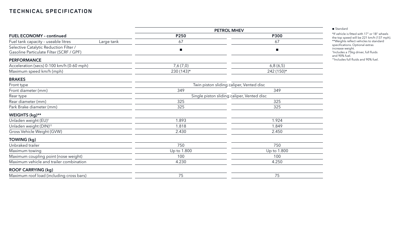|                                                                                    |            | <b>PETROL MHEV</b>                         |                                          |  |  |
|------------------------------------------------------------------------------------|------------|--------------------------------------------|------------------------------------------|--|--|
| <b>FUEL ECONOMY - continued</b>                                                    |            | P250                                       | <b>P300</b>                              |  |  |
| Fuel tank capacity - useable litres                                                | Large tank | 67                                         | 67                                       |  |  |
| Selective Catalytic Reduction Filter /<br>Gasoline Particulate Filter (SCRF / GPF) |            | $\mathcal{L}_{\mathcal{A}}$                | $\mathcal{L}_{\mathcal{A}}$              |  |  |
| <b>PERFORMANCE</b>                                                                 |            |                                            |                                          |  |  |
| Acceleration (secs) 0-100 km/h (0-60 mph)                                          |            | 7,6(7,0)                                   | 6,8(6,5)                                 |  |  |
| Maximum speed km/h (mph)                                                           |            | $230(143)$ *                               | 242 (150)*                               |  |  |
| <b>BRAKES</b>                                                                      |            |                                            |                                          |  |  |
| Front type                                                                         |            |                                            | Twin piston sliding caliper, Vented disc |  |  |
| Front diameter (mm)                                                                |            | 349                                        | 349                                      |  |  |
| Rear type                                                                          |            | Single piston sliding caliper, Vented disc |                                          |  |  |
| Rear diameter (mm)                                                                 |            | 325                                        | 325                                      |  |  |
| Park Brake diameter (mm)                                                           |            | 325                                        | 325                                      |  |  |
| WEIGHTS (kg)**                                                                     |            |                                            |                                          |  |  |
| Unladen weight (EU) <sup>+</sup>                                                   |            | 1.893                                      | 1.924                                    |  |  |
| Unladen weight (DIN) <sup>++</sup>                                                 |            | 1.818                                      | 1.849                                    |  |  |
| Gross Vehicle Weight (GVW)                                                         |            | 2.430                                      | 2.450                                    |  |  |
| <b>TOWING (kg)</b>                                                                 |            |                                            |                                          |  |  |
| Unbraked trailer                                                                   |            | 750                                        | 750                                      |  |  |
| Maximum towing                                                                     |            | Up to 1.800                                | Up to 1.800                              |  |  |
| Maximum coupling point (nose weight)                                               |            | 100                                        | 100                                      |  |  |
| Maximum vehicle and trailer combination                                            |            | 4.230                                      | 4.250                                    |  |  |
| <b>ROOF CARRYING (kg)</b>                                                          |            |                                            |                                          |  |  |
| Maximum roof load (including cross bars)                                           |            | 75                                         | 75                                       |  |  |

#### ■ Standard

\*If vehicle is fitted with 17" or 18" wheels the top speed will be 221 km/h (137 mph). \*\*Weights reflect vehicles to standard specifications. Optional extras increase weight. † Includes a 75kg driver, full fluids and 90% fuel. ††Includes full fluids and 90% fuel.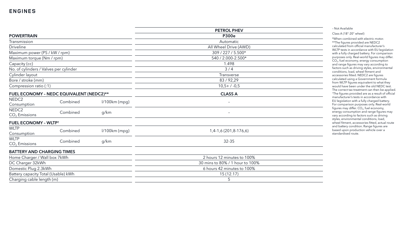|                                        |                                          |                 | <b>PETROL PHEV</b>              |
|----------------------------------------|------------------------------------------|-----------------|---------------------------------|
| <b>POWERTRAIN</b>                      |                                          |                 | <b>P300e</b>                    |
| Transmission                           |                                          |                 | Automatic                       |
| <b>Driveline</b>                       |                                          |                 | All Wheel Drive (AWD)           |
| Maximum power (PS / kW / rpm)          |                                          |                 | 309 / 227 / 5.500*              |
| Maximum torque (Nm / rpm)              |                                          |                 | 540 / 2.000-2.500*              |
| Capacity (cc)                          |                                          |                 | 1.498                           |
| No. of cylinders / Valves per cylinder |                                          |                 | 3/4                             |
| Cylinder layout                        |                                          |                 | Transverse                      |
| Bore / stroke (mm)                     |                                          |                 | 83/92,29                        |
| Compression ratio (:1)                 |                                          |                 | $10,5+7.0,5$                    |
|                                        | FUEL ECONOMY - NEDC EQUIVALENT (NEDC2)** |                 | <b>CLASS A</b>                  |
| NEDC <sub>2</sub><br>Consumption       | Combined                                 | $1/100km$ (mpg) | $\overline{\phantom{a}}$        |
| NEDC <sub>2</sub><br>$CO2$ Emissions   | Combined                                 | g/km            |                                 |
| <b>FUEL ECONOMY - WLTP<sup>+</sup></b> |                                          |                 |                                 |
| <b>WLTP</b><br>Consumption             | Combined                                 | $1/100km$ (mpg) | $1,4-1,6(201,8-176,6)$          |
| <b>WLTP</b><br>$CO2$ Emissions         | Combined                                 | g/km            | 32-35                           |
| <b>BATTERY AND CHARGING TIMES</b>      |                                          |                 |                                 |
| Home Charger / Wall box 7kWh           |                                          |                 | 2 hours 12 minutes to 100%      |
| DC Charger 32kWh                       |                                          |                 | 30 mins to 80% / 1 hour to 100% |
| Domestic Plug 2.3kWh                   |                                          |                 | 6 hours 42 minutes to 100%      |
| Battery capacity Total (Usable) kWh    |                                          |                 | 15(12.17)                       |
| Charging cable length (m)              |                                          |                 | 5                               |

#### – Not Available

#### Class A (18"-20" wheel)

\*When combined with electric motor. \*\*The figures provided are NEDC2 calculated from official manufacturer's WLTP tests in accordance with EU legislation with a fully charged battery. For comparison purposes only. Real-world figures may differ. CO 2, fuel economy, energy consumption and range figures may vary according to factors such as driving styles, environmental conditions, load, wheel fitment and accessories fitted. NEDC2 are figures calculated using a Government formula from WLTP figures equivalent to what they would have been under the old NEDC test. The correct tax treatment can then be applied. † The figures provided are as a result of official manufacturer's tests in accordance with EU legislation with a fully charged battery. For comparison purposes only. Real -world figures may differ. CO $_2$ , fuel economy, energy consumption and range figures may vary according to factors such as driving styles, environmental conditions, load, wheel fitment, accessories fitted, actual route and battery condition. Range figures are based upon production vehicle over a standardised route.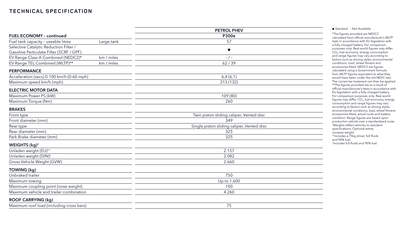|                                           |            | <b>PETROL PHEV</b>                         |
|-------------------------------------------|------------|--------------------------------------------|
| <b>FUEL ECONOMY - continued</b>           |            | <b>P300e</b>                               |
| Fuel tank capacity - useable litres       | Large tank | 57                                         |
| Selective Catalytic Reduction Filter /    |            | $\mathcal{L}_{\mathcal{A}}$                |
| Gasoline Particulate Filter (SCRF / GPF)  |            |                                            |
| EV Range Class A Combined (NEDC2)*        | km / miles | $-/-$                                      |
| EV Range TEL Combined (WLTP)**            | km / miles | 62/39                                      |
| <b>PERFORMANCE</b>                        |            |                                            |
| Acceleration (secs) 0-100 km/h (0-60 mph) |            | 6,4(6,1)                                   |
| Maximum speed km/h (mph)                  |            | 213 (132)                                  |
| <b>ELECTRIC MOTOR DATA</b>                |            |                                            |
| Maximum Power PS (kW)                     |            | 109 (80)                                   |
| Maximum Torque (Nm)                       |            | 260                                        |
| <b>BRAKES</b>                             |            |                                            |
| Front type                                |            | Twin piston sliding caliper, Vented disc   |
| Front diameter (mm)                       |            | 349                                        |
| Rear type                                 |            | Single piston sliding caliper, Vented disc |
| Rear diameter (mm)                        |            | 325                                        |
| Park Brake diameter (mm)                  |            | 325                                        |
| WEIGHTS (kg) <sup>+</sup>                 |            |                                            |
| Unladen weight (EU) <sup>++</sup>         |            | 2.157                                      |
| Unladen weight (DIN) <sup>#</sup>         |            | 2.082                                      |
| Gross Vehicle Weight (GVW)                |            | 2.660                                      |
| TOWING (kg)                               |            |                                            |
| Unbraked trailer                          |            | 750                                        |
| Maximum towing                            |            | Up to 1.600                                |
| Maximum coupling point (nose weight)      |            | 100                                        |
| Maximum vehicle and trailer combination   |            | 4.260                                      |
| <b>ROOF CARRYING (kg)</b>                 |            |                                            |
| Maximum roof load (including cross bars)  |            | 75                                         |
|                                           |            |                                            |

■ Standard - Not Available.

\*The figures provided are NEDC2 calculated from official manufacturer's WLTP tests in accordance with EU legislation with a fully charged battery. For comparison purposes only. Real-world figures may differ. CO 2, fuel economy, energy consumption and range figures may vary according to factors such as driving styles, environmental conditions, load, wheel fitment and accessories fitted. NEDC2 are figures calculated using a Government formula from WLTP figures equivalent to what they would have been under the old NEDC test. The correct tax treatment can then be applied. \*\*The figures provided are as a result of official manufacturer's tests in accordance with EU legislation with a fully charged battery. For comparison purposes only. Real -world figures may differ. CO $_2$ , fuel economy, energy consumption and range figures may vary according to factors such as driving styles, environmental conditions, load, wheel fitment, accessories fitted, actual route and battery condition. Range figures are based upon production vehicle over a standardised route. † Weights reflect vehicles to standard specifications. Optional extras increase weight. ††Includes a 75kg driver, full fluids

and 90% fuel. ‡ Includes full fluids and 90% fuel.